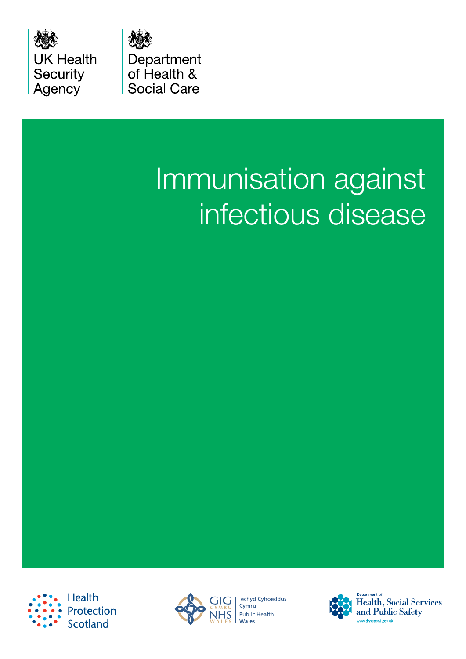

Department of Health & **Social Care** 

# Immunisation against infectious disease





lechyd Cyhoeddus Cymru **Public Health** Wales



Health, Social Services and Public Safety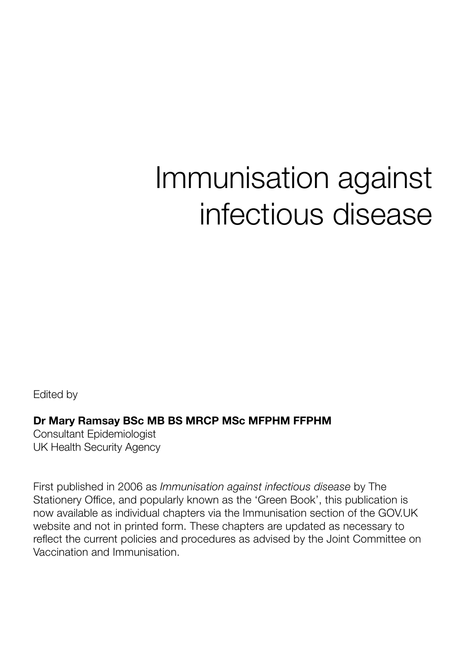## Immunisation against infectious disease

Edited by

#### Dr Mary Ramsay BSc MB BS MRCP MSc MFPHM FFPHM

Consultant Epidemiologist UK Health Security Agency

First published in 2006 as *Immunisation against infectious disease* by The Stationery Office, and popularly known as the 'Green Book', this publication is now available as individual chapters via the Immunisation section of the GOV.UK website and not in printed form. These chapters are updated as necessary to reflect the current policies and procedures as advised by the Joint Committee on Vaccination and Immunisation.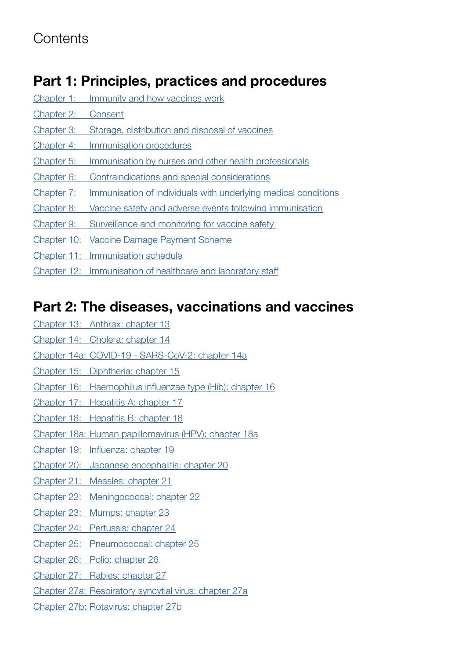### **Contents**

#### Part 1: Principles, practices and procedures

| Chapter 1: | Immunity and how vaccines work                                 |
|------------|----------------------------------------------------------------|
| Chapter 2: | Consent                                                        |
| Chapter 3: | Storage, distribution and disposal of vaccines                 |
| Chapter 4: | Immunisation procedures                                        |
| Chapter 5: | Immunisation by nurses and other health professionals          |
| Chapter 6: | Contraindications and special considerations                   |
| Chapter 7: | Immunisation of individuals with underlying medical conditions |
| Chapter 8: | Vaccine safety and adverse events following immunisation       |
| Chapter 9: | Surveillance and monitoring for vaccine safety                 |
|            | Chapter 10: Vaccine Damage Payment Scheme                      |
|            | Chapter 11: Immunisation schedule                              |
|            | Chapter 12: Immunisation of healthcare and laboratory staff    |

#### Part 2: The diseases, vaccinations and vaccines

- Chapter 13: [Anthrax: chapter 13](https://www.gov.uk/government/publications/anthrax-the-green-book-chapter-13)
- Chapter 14: [Cholera: chapter 14](https://www.gov.uk/government/publications/cholera-the-green-book-chapter-14)
- Chapter 14a: [COVID-19 SARS-CoV-2: chapter 14a](https://www.gov.uk/government/publications/covid-19-the-green-book-chapter-14a)
- Chapter 15: [Diphtheria: chapter 15](https://www.gov.uk/government/publications/diphtheria-the-green-book-chapter-15)
- Chapter 16: [Haemophilus influenzae type \(Hib\): chapter 16](https://www.gov.uk/government/publications/haemophilus-influenzae-type-hib-the-green-book-chapter-16)
- Chapter 17: [Hepatitis A: chapter 17](https://www.gov.uk/government/publications/hepatitis-a-the-green-book-chapter-17)
- Chapter 18: [Hepatitis B: chapter 18](https://www.gov.uk/government/publications/hepatitis-b-the-green-book-chapter-18)
- Chapter 18a: [Human papillomavirus \(HPV\): chapter 18a](https://www.gov.uk/government/publications/human-papillomavirus-hpv-the-green-book-chapter-18a)
- Chapter 19: [Influenza: chapter 19](https://www.gov.uk/government/publications/influenza-the-green-book-chapter-19)
- Chapter 20: [Japanese encephalitis: chapter 20](https://www.gov.uk/government/publications/japanese-encephalitis-the-green-book-chapter-20)
- Chapter 21: [Measles: chapter 21](https://www.gov.uk/government/publications/measles-the-green-book-chapter-21)
- Chapter 22: [Meningococcal: chapter 22](https://www.gov.uk/government/publications/meningococcal-the-green-book-chapter-22)
- Chapter 23: [Mumps: chapter 23](https://www.gov.uk/government/publications/mumps-the-green-book-chapter-23)
- Chapter 24: [Pertussis: chapter 24](https://www.gov.uk/government/publications/pertussis-the-green-book-chapter-24)
- Chapter 25: [Pneumococcal: chapter 25](https://www.gov.uk/government/publications/pneumococcal-the-green-book-chapter-25)
- Chapter 26: [Polio: chapter 26](https://www.gov.uk/government/publications/polio-the-green-book-chapter-26)
- Chapter 27: [Rabies: chapter 27](https://www.gov.uk/government/publications/rabies-the-green-book-chapter-27)
- Chapter 27a: [Respiratory syncytial virus: chapter 27a](https://www.gov.uk/government/publications/respiratory-syncytial-virus-the-green-book-chapter-27a)
- Chapter 27b: [Rotavirus: chapter 27b](https://www.gov.uk/government/publications/rotavirus-the-green-book-chapter-27b)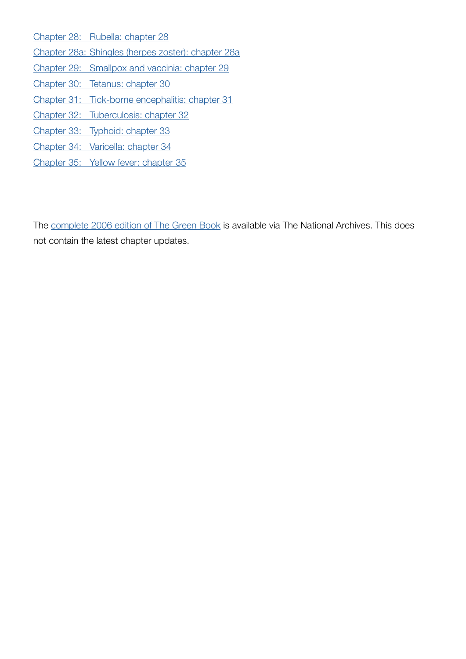Chapter 28: [Rubella: chapter 28](https://www.gov.uk/government/publications/rubella-the-green-book-chapter-28) Chapter 28a: [Shingles \(herpes zoster\): chapter 28a](https://www.gov.uk/government/publications/shingles-herpes-zoster-the-green-book-chapter-28a) Chapter 29: [Smallpox and vaccinia: chapter 29](https://www.gov.uk/government/publications/smallpox-and-vaccinia-the-green-book-chapter-29) Chapter 30: [Tetanus: chapter 30](https://www.gov.uk/government/publications/tetanus-the-green-book-chapter-30) Chapter 31: [Tick-borne encephalitis: chapter 31](https://www.gov.uk/government/publications/tick-borne-encephalitis-the-green-book-chapter-31) Chapter 32: [Tuberculosis: chapter 32](https://www.gov.uk/government/publications/tuberculosis-the-green-book-chapter-32) Chapter 33: [Typhoid: chapter 33](https://www.gov.uk/government/publications/typhoid-the-green-book-chapter-33) Chapter 34: [Varicella: chapter 34](https://www.gov.uk/government/publications/varicella-the-green-book-chapter-34) Chapter 35: [Yellow fever: chapter 35](https://www.gov.uk/government/publications/yellow-fever-the-green-book-chapter-35)

The [complete 2006 edition of The Green Book](https://webarchive.nationalarchives.gov.uk/20080818020739/http://www.dh.gov.uk/en/Publichealth/Healthprotection/Immunisation/Greenbook//DH_4097254) is available via The National Archives. This does not contain the latest chapter updates.